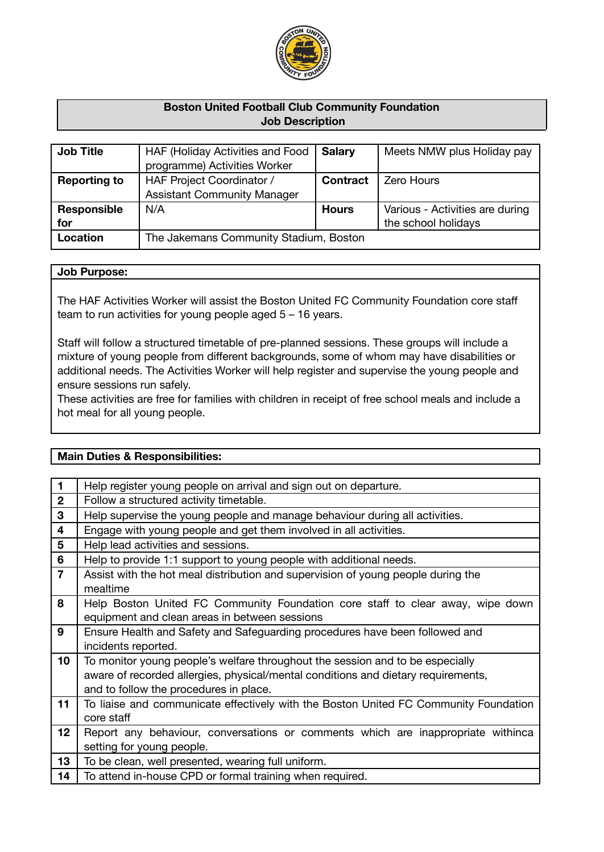

# **Boston United Football Club Community Foundation Job Description**

| <b>Job Title</b>    | HAF (Holiday Activities and Food       | <b>Salary</b>   | Meets NMW plus Holiday pay      |
|---------------------|----------------------------------------|-----------------|---------------------------------|
|                     | programme) Activities Worker           |                 |                                 |
| <b>Reporting to</b> | HAF Project Coordinator /              | <b>Contract</b> | <b>Zero Hours</b>               |
|                     | <b>Assistant Community Manager</b>     |                 |                                 |
| Responsible         | N/A                                    | <b>Hours</b>    | Various - Activities are during |
| for                 |                                        |                 | the school holidays             |
| Location            | The Jakemans Community Stadium, Boston |                 |                                 |
|                     |                                        |                 |                                 |

# **Job Purpose:**

The HAF Activities Worker will assist the Boston United FC Community Foundation core staff team to run activities for young people aged 5 – 16 years.

Staff will follow a structured timetable of pre-planned sessions. These groups will include a mixture of young people from different backgrounds, some of whom may have disabilities or additional needs. The Activities Worker will help register and supervise the young people and ensure sessions run safely.

These activities are free for families with children in receipt of free school meals and include a hot meal for all young people.

## **Main Duties & Responsibilities:**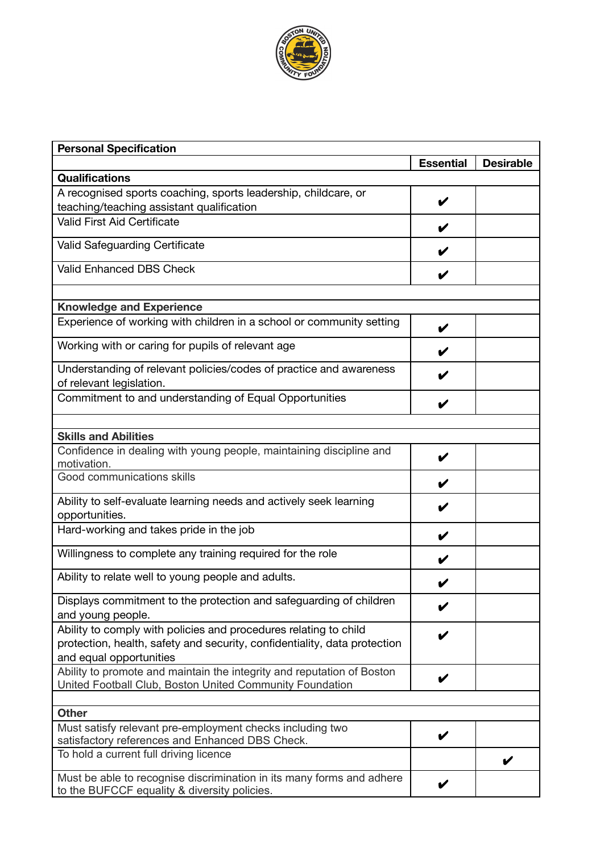

| <b>Personal Specification</b>                                                                                                                                            |                  |                  |
|--------------------------------------------------------------------------------------------------------------------------------------------------------------------------|------------------|------------------|
|                                                                                                                                                                          | <b>Essential</b> | <b>Desirable</b> |
| <b>Qualifications</b>                                                                                                                                                    |                  |                  |
| A recognised sports coaching, sports leadership, childcare, or                                                                                                           |                  |                  |
| teaching/teaching assistant qualification                                                                                                                                | V                |                  |
| Valid First Aid Certificate                                                                                                                                              | V                |                  |
| <b>Valid Safeguarding Certificate</b>                                                                                                                                    |                  |                  |
| <b>Valid Enhanced DBS Check</b>                                                                                                                                          | V                |                  |
|                                                                                                                                                                          |                  |                  |
| <b>Knowledge and Experience</b>                                                                                                                                          |                  |                  |
| Experience of working with children in a school or community setting                                                                                                     | V                |                  |
| Working with or caring for pupils of relevant age                                                                                                                        |                  |                  |
| Understanding of relevant policies/codes of practice and awareness<br>of relevant legislation.                                                                           |                  |                  |
| Commitment to and understanding of Equal Opportunities                                                                                                                   | V                |                  |
|                                                                                                                                                                          |                  |                  |
| <b>Skills and Abilities</b>                                                                                                                                              |                  |                  |
| Confidence in dealing with young people, maintaining discipline and<br>motivation.                                                                                       | V                |                  |
| Good communications skills                                                                                                                                               |                  |                  |
| Ability to self-evaluate learning needs and actively seek learning<br>opportunities.                                                                                     |                  |                  |
| Hard-working and takes pride in the job                                                                                                                                  |                  |                  |
| Willingness to complete any training required for the role                                                                                                               |                  |                  |
| Ability to relate well to young people and adults.                                                                                                                       |                  |                  |
| Displays commitment to the protection and safeguarding of children<br>and young people.                                                                                  | V                |                  |
| Ability to comply with policies and procedures relating to child<br>protection, health, safety and security, confidentiality, data protection<br>and equal opportunities |                  |                  |
| Ability to promote and maintain the integrity and reputation of Boston<br>United Football Club, Boston United Community Foundation                                       | V                |                  |
| <b>Other</b>                                                                                                                                                             |                  |                  |
| Must satisfy relevant pre-employment checks including two                                                                                                                |                  |                  |
| satisfactory references and Enhanced DBS Check.                                                                                                                          | V                |                  |
| To hold a current full driving licence                                                                                                                                   |                  |                  |
| Must be able to recognise discrimination in its many forms and adhere<br>to the BUFCCF equality & diversity policies.                                                    |                  |                  |